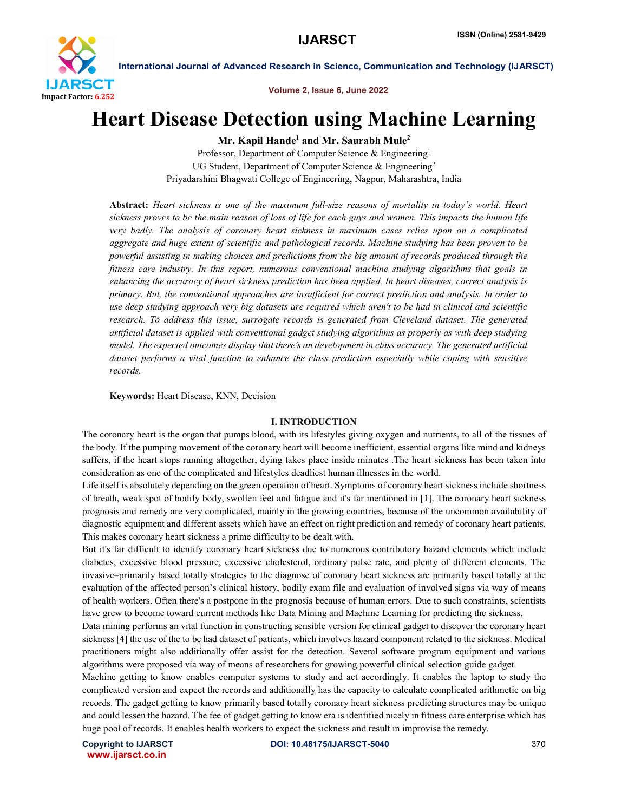

Volume 2, Issue 6, June 2022

## Heart Disease Detection using Machine Learning

Mr. Kapil Hande<sup>1</sup> and Mr. Saurabh Mule<sup>2</sup>

Professor, Department of Computer Science & Engineering<sup>1</sup> UG Student, Department of Computer Science & Engineering<sup>2</sup> Priyadarshini Bhagwati College of Engineering, Nagpur, Maharashtra, India

Abstract: *Heart sickness is one of the maximum full-size reasons of mortality in today's world. Heart sickness proves to be the main reason of loss of life for each guys and women. This impacts the human life very badly. The analysis of coronary heart sickness in maximum cases relies upon on a complicated aggregate and huge extent of scientific and pathological records. Machine studying has been proven to be powerful assisting in making choices and predictions from the big amount of records produced through the fitness care industry. In this report, numerous conventional machine studying algorithms that goals in enhancing the accuracy of heart sickness prediction has been applied. In heart diseases, correct analysis is primary. But, the conventional approaches are insufficient for correct prediction and analysis. In order to use deep studying approach very big datasets are required which aren't to be had in clinical and scientific research. To address this issue, surrogate records is generated from Cleveland dataset. The generated artificial dataset is applied with conventional gadget studying algorithms as properly as with deep studying model. The expected outcomes display that there's an development in class accuracy. The generated artificial dataset performs a vital function to enhance the class prediction especially while coping with sensitive records.*

Keywords: Heart Disease, KNN, Decision

#### I. INTRODUCTION

The coronary heart is the organ that pumps blood, with its lifestyles giving oxygen and nutrients, to all of the tissues of the body. If the pumping movement of the coronary heart will become inefficient, essential organs like mind and kidneys suffers, if the heart stops running altogether, dying takes place inside minutes .The heart sickness has been taken into consideration as one of the complicated and lifestyles deadliest human illnesses in the world.

Life itself is absolutely depending on the green operation of heart. Symptoms of coronary heart sickness include shortness of breath, weak spot of bodily body, swollen feet and fatigue and it's far mentioned in [1]. The coronary heart sickness prognosis and remedy are very complicated, mainly in the growing countries, because of the uncommon availability of diagnostic equipment and different assets which have an effect on right prediction and remedy of coronary heart patients. This makes coronary heart sickness a prime difficulty to be dealt with.

But it's far difficult to identify coronary heart sickness due to numerous contributory hazard elements which include diabetes, excessive blood pressure, excessive cholesterol, ordinary pulse rate, and plenty of different elements. The invasive–primarily based totally strategies to the diagnose of coronary heart sickness are primarily based totally at the evaluation of the affected person's clinical history, bodily exam file and evaluation of involved signs via way of means of health workers. Often there's a postpone in the prognosis because of human errors. Due to such constraints, scientists have grew to become toward current methods like Data Mining and Machine Learning for predicting the sickness.

Data mining performs an vital function in constructing sensible version for clinical gadget to discover the coronary heart sickness [4] the use of the to be had dataset of patients, which involves hazard component related to the sickness. Medical practitioners might also additionally offer assist for the detection. Several software program equipment and various algorithms were proposed via way of means of researchers for growing powerful clinical selection guide gadget.

Machine getting to know enables computer systems to study and act accordingly. It enables the laptop to study the complicated version and expect the records and additionally has the capacity to calculate complicated arithmetic on big records. The gadget getting to know primarily based totally coronary heart sickness predicting structures may be unique and could lessen the hazard. The fee of gadget getting to know era is identified nicely in fitness care enterprise which has huge pool of records. It enables health workers to expect the sickness and result in improvise the remedy.

www.ijarsct.co.in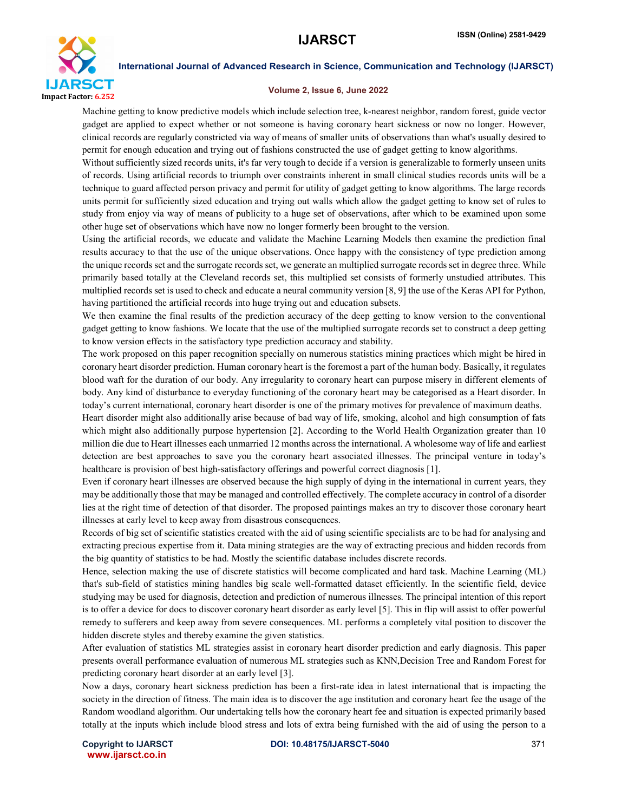

#### Volume 2, Issue 6, June 2022

Machine getting to know predictive models which include selection tree, k-nearest neighbor, random forest, guide vector gadget are applied to expect whether or not someone is having coronary heart sickness or now no longer. However, clinical records are regularly constricted via way of means of smaller units of observations than what's usually desired to permit for enough education and trying out of fashions constructed the use of gadget getting to know algorithms.

Without sufficiently sized records units, it's far very tough to decide if a version is generalizable to formerly unseen units of records. Using artificial records to triumph over constraints inherent in small clinical studies records units will be a technique to guard affected person privacy and permit for utility of gadget getting to know algorithms. The large records units permit for sufficiently sized education and trying out walls which allow the gadget getting to know set of rules to study from enjoy via way of means of publicity to a huge set of observations, after which to be examined upon some other huge set of observations which have now no longer formerly been brought to the version.

Using the artificial records, we educate and validate the Machine Learning Models then examine the prediction final results accuracy to that the use of the unique observations. Once happy with the consistency of type prediction among the unique records set and the surrogate records set, we generate an multiplied surrogate records set in degree three. While primarily based totally at the Cleveland records set, this multiplied set consists of formerly unstudied attributes. This multiplied records set is used to check and educate a neural community version [8, 9] the use of the Keras API for Python, having partitioned the artificial records into huge trying out and education subsets.

We then examine the final results of the prediction accuracy of the deep getting to know version to the conventional gadget getting to know fashions. We locate that the use of the multiplied surrogate records set to construct a deep getting to know version effects in the satisfactory type prediction accuracy and stability.

The work proposed on this paper recognition specially on numerous statistics mining practices which might be hired in coronary heart disorder prediction. Human coronary heart is the foremost a part of the human body. Basically, it regulates blood waft for the duration of our body. Any irregularity to coronary heart can purpose misery in different elements of body. Any kind of disturbance to everyday functioning of the coronary heart may be categorised as a Heart disorder. In today's current international, coronary heart disorder is one of the primary motives for prevalence of maximum deaths.

Heart disorder might also additionally arise because of bad way of life, smoking, alcohol and high consumption of fats which might also additionally purpose hypertension [2]. According to the World Health Organization greater than 10 million die due to Heart illnesses each unmarried 12 months across the international. A wholesome way of life and earliest detection are best approaches to save you the coronary heart associated illnesses. The principal venture in today's healthcare is provision of best high-satisfactory offerings and powerful correct diagnosis [1].

Even if coronary heart illnesses are observed because the high supply of dying in the international in current years, they may be additionally those that may be managed and controlled effectively. The complete accuracy in control of a disorder lies at the right time of detection of that disorder. The proposed paintings makes an try to discover those coronary heart illnesses at early level to keep away from disastrous consequences.

Records of big set of scientific statistics created with the aid of using scientific specialists are to be had for analysing and extracting precious expertise from it. Data mining strategies are the way of extracting precious and hidden records from the big quantity of statistics to be had. Mostly the scientific database includes discrete records.

Hence, selection making the use of discrete statistics will become complicated and hard task. Machine Learning (ML) that's sub-field of statistics mining handles big scale well-formatted dataset efficiently. In the scientific field, device studying may be used for diagnosis, detection and prediction of numerous illnesses. The principal intention of this report is to offer a device for docs to discover coronary heart disorder as early level [5]. This in flip will assist to offer powerful remedy to sufferers and keep away from severe consequences. ML performs a completely vital position to discover the hidden discrete styles and thereby examine the given statistics.

After evaluation of statistics ML strategies assist in coronary heart disorder prediction and early diagnosis. This paper presents overall performance evaluation of numerous ML strategies such as KNN,Decision Tree and Random Forest for predicting coronary heart disorder at an early level [3].

Now a days, coronary heart sickness prediction has been a first-rate idea in latest international that is impacting the society in the direction of fitness. The main idea is to discover the age institution and coronary heart fee the usage of the Random woodland algorithm. Our undertaking tells how the coronary heart fee and situation is expected primarily based totally at the inputs which include blood stress and lots of extra being furnished with the aid of using the person to a

www.ijarsct.co.in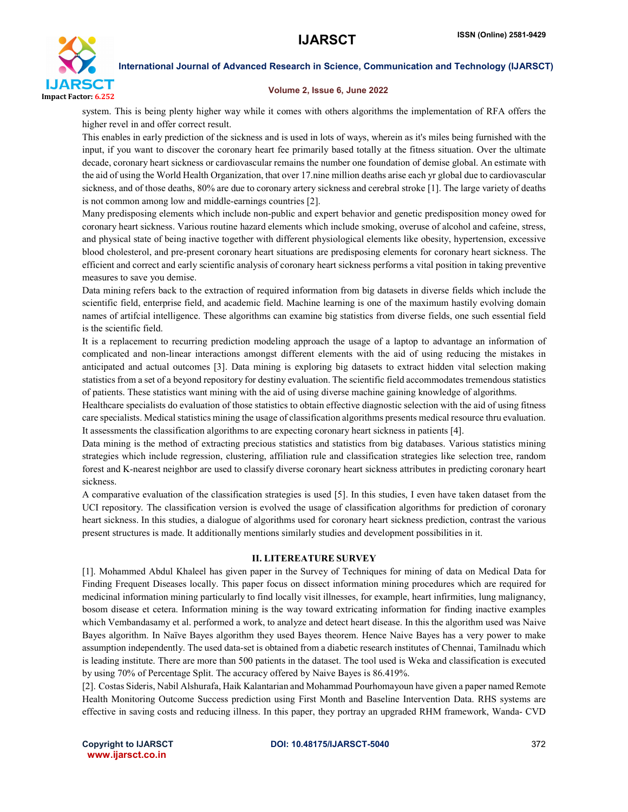

#### Volume 2, Issue 6, June 2022

system. This is being plenty higher way while it comes with others algorithms the implementation of RFA offers the higher revel in and offer correct result.

This enables in early prediction of the sickness and is used in lots of ways, wherein as it's miles being furnished with the input, if you want to discover the coronary heart fee primarily based totally at the fitness situation. Over the ultimate decade, coronary heart sickness or cardiovascular remains the number one foundation of demise global. An estimate with the aid of using the World Health Organization, that over 17.nine million deaths arise each yr global due to cardiovascular sickness, and of those deaths, 80% are due to coronary artery sickness and cerebral stroke [1]. The large variety of deaths is not common among low and middle-earnings countries [2].

Many predisposing elements which include non-public and expert behavior and genetic predisposition money owed for coronary heart sickness. Various routine hazard elements which include smoking, overuse of alcohol and cafeine, stress, and physical state of being inactive together with different physiological elements like obesity, hypertension, excessive blood cholesterol, and pre-present coronary heart situations are predisposing elements for coronary heart sickness. The efficient and correct and early scientific analysis of coronary heart sickness performs a vital position in taking preventive measures to save you demise.

Data mining refers back to the extraction of required information from big datasets in diverse fields which include the scientific field, enterprise field, and academic field. Machine learning is one of the maximum hastily evolving domain names of artifcial intelligence. These algorithms can examine big statistics from diverse fields, one such essential field is the scientific field.

It is a replacement to recurring prediction modeling approach the usage of a laptop to advantage an information of complicated and non-linear interactions amongst different elements with the aid of using reducing the mistakes in anticipated and actual outcomes [3]. Data mining is exploring big datasets to extract hidden vital selection making statistics from a set of a beyond repository for destiny evaluation. The scientific field accommodates tremendous statistics of patients. These statistics want mining with the aid of using diverse machine gaining knowledge of algorithms.

Healthcare specialists do evaluation of those statistics to obtain effective diagnostic selection with the aid of using fitness care specialists. Medical statistics mining the usage of classification algorithms presents medical resource thru evaluation. It assessments the classification algorithms to are expecting coronary heart sickness in patients [4].

Data mining is the method of extracting precious statistics and statistics from big databases. Various statistics mining strategies which include regression, clustering, affiliation rule and classification strategies like selection tree, random forest and K-nearest neighbor are used to classify diverse coronary heart sickness attributes in predicting coronary heart sickness.

A comparative evaluation of the classification strategies is used [5]. In this studies, I even have taken dataset from the UCI repository. The classification version is evolved the usage of classification algorithms for prediction of coronary heart sickness. In this studies, a dialogue of algorithms used for coronary heart sickness prediction, contrast the various present structures is made. It additionally mentions similarly studies and development possibilities in it.

#### II. LITEREATURE SURVEY

[1]. Mohammed Abdul Khaleel has given paper in the Survey of Techniques for mining of data on Medical Data for Finding Frequent Diseases locally. This paper focus on dissect information mining procedures which are required for medicinal information mining particularly to find locally visit illnesses, for example, heart infirmities, lung malignancy, bosom disease et cetera. Information mining is the way toward extricating information for finding inactive examples which Vembandasamy et al. performed a work, to analyze and detect heart disease. In this the algorithm used was Naive Bayes algorithm. In Naïve Bayes algorithm they used Bayes theorem. Hence Naive Bayes has a very power to make assumption independently. The used data-set is obtained from a diabetic research institutes of Chennai, Tamilnadu which is leading institute. There are more than 500 patients in the dataset. The tool used is Weka and classification is executed by using 70% of Percentage Split. The accuracy offered by Naive Bayes is 86.419%.

[2]. Costas Sideris, Nabil Alshurafa, Haik Kalantarian and Mohammad Pourhomayoun have given a paper named Remote Health Monitoring Outcome Success prediction using First Month and Baseline Intervention Data. RHS systems are effective in saving costs and reducing illness. In this paper, they portray an upgraded RHM framework, Wanda- CVD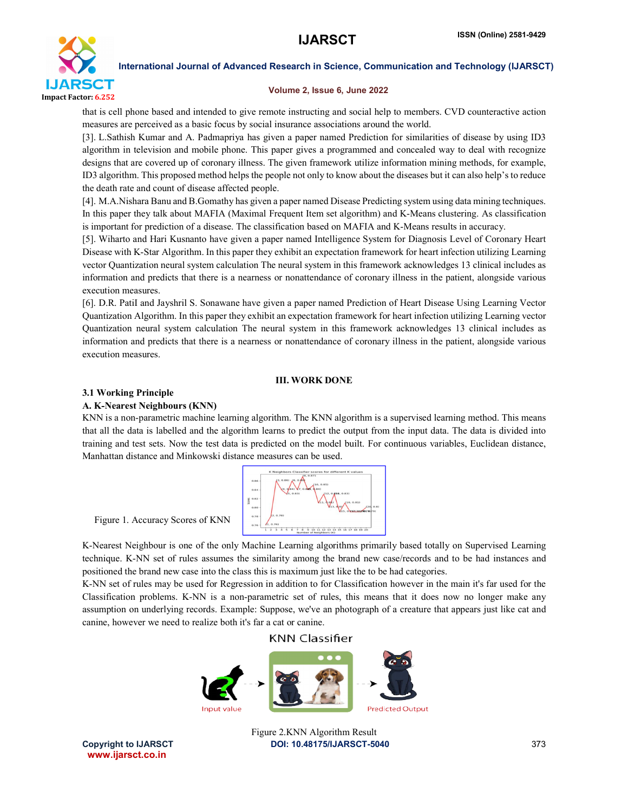

#### Volume 2, Issue 6, June 2022

that is cell phone based and intended to give remote instructing and social help to members. CVD counteractive action measures are perceived as a basic focus by social insurance associations around the world.

[3]. L.Sathish Kumar and A. Padmapriya has given a paper named Prediction for similarities of disease by using ID3 algorithm in television and mobile phone. This paper gives a programmed and concealed way to deal with recognize designs that are covered up of coronary illness. The given framework utilize information mining methods, for example, ID3 algorithm. This proposed method helps the people not only to know about the diseases but it can also help's to reduce the death rate and count of disease affected people.

[4]. M.A.Nishara Banu and B.Gomathy has given a paper named Disease Predicting system using data mining techniques. In this paper they talk about MAFIA (Maximal Frequent Item set algorithm) and K-Means clustering. As classification is important for prediction of a disease. The classification based on MAFIA and K-Means results in accuracy.

[5]. Wiharto and Hari Kusnanto have given a paper named Intelligence System for Diagnosis Level of Coronary Heart Disease with K-Star Algorithm. In this paper they exhibit an expectation framework for heart infection utilizing Learning vector Quantization neural system calculation The neural system in this framework acknowledges 13 clinical includes as information and predicts that there is a nearness or nonattendance of coronary illness in the patient, alongside various execution measures.

[6]. D.R. PatiI and Jayshril S. Sonawane have given a paper named Prediction of Heart Disease Using Learning Vector Quantization Algorithm. In this paper they exhibit an expectation framework for heart infection utilizing Learning vector Quantization neural system calculation The neural system in this framework acknowledges 13 clinical includes as information and predicts that there is a nearness or nonattendance of coronary illness in the patient, alongside various execution measures.

#### III. WORK DONE

#### 3.1 Working Principle

### A. K-Nearest Neighbours (KNN)

KNN is a non-parametric machine learning algorithm. The KNN algorithm is a supervised learning method. This means that all the data is labelled and the algorithm learns to predict the output from the input data. The data is divided into training and test sets. Now the test data is predicted on the model built. For continuous variables, Euclidean distance, Manhattan distance and Minkowski distance measures can be used.



Figure 1. Accuracy Scores of KNN

K-Nearest Neighbour is one of the only Machine Learning algorithms primarily based totally on Supervised Learning technique. K-NN set of rules assumes the similarity among the brand new case/records and to be had instances and positioned the brand new case into the class this is maximum just like the to be had categories.

K-NN set of rules may be used for Regression in addition to for Classification however in the main it's far used for the Classification problems. K-NN is a non-parametric set of rules, this means that it does now no longer make any assumption on underlying records. Example: Suppose, we've an photograph of a creature that appears just like cat and canine, however we need to realize both it's far a cat or canine.

KNN Classifier



www.ijarsct.co.in

Copyright to IJARSCT **DOI: 10.48175/IJARSCT-5040** 373 Figure 2.KNN Algorithm Result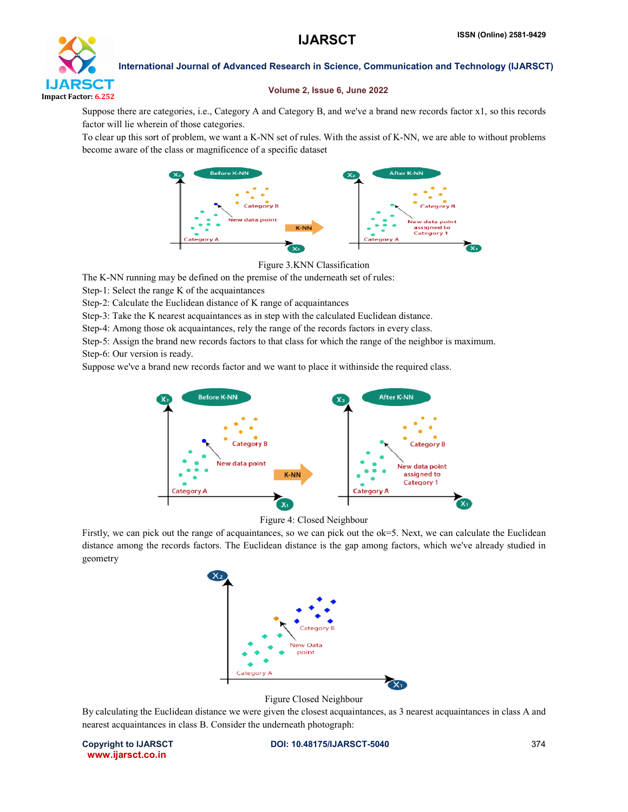

#### Volume 2, Issue 6, June 2022

Suppose there are categories, i.e., Category A and Category B, and we've a brand new records factor x1, so this records factor will lie wherein of those categories.

To clear up this sort of problem, we want a K-NN set of rules. With the assist of K-NN, we are able to without problems become aware of the class or magnificence of a specific dataset





The K-NN running may be defined on the premise of the underneath set of rules:

Step-1: Select the range K of the acquaintances

Step-2: Calculate the Euclidean distance of K range of acquaintances

Step-3: Take the K nearest acquaintances as in step with the calculated Euclidean distance.

Step-4: Among those ok acquaintances, rely the range of the records factors in every class.

Step-5: Assign the brand new records factors to that class for which the range of the neighbor is maximum. Step-6: Our version is ready.

Suppose we've a brand new records factor and we want to place it withinside the required class.





Firstly, we can pick out the range of acquaintances, so we can pick out the ok=5. Next, we can calculate the Euclidean distance among the records factors. The Euclidean distance is the gap among factors, which we've already studied in geometry



Figure Closed Neighbour

By calculating the Euclidean distance we were given the closest acquaintances, as 3 nearest acquaintances in class A and nearest acquaintances in class B. Consider the underneath photograph:

www.ijarsct.co.in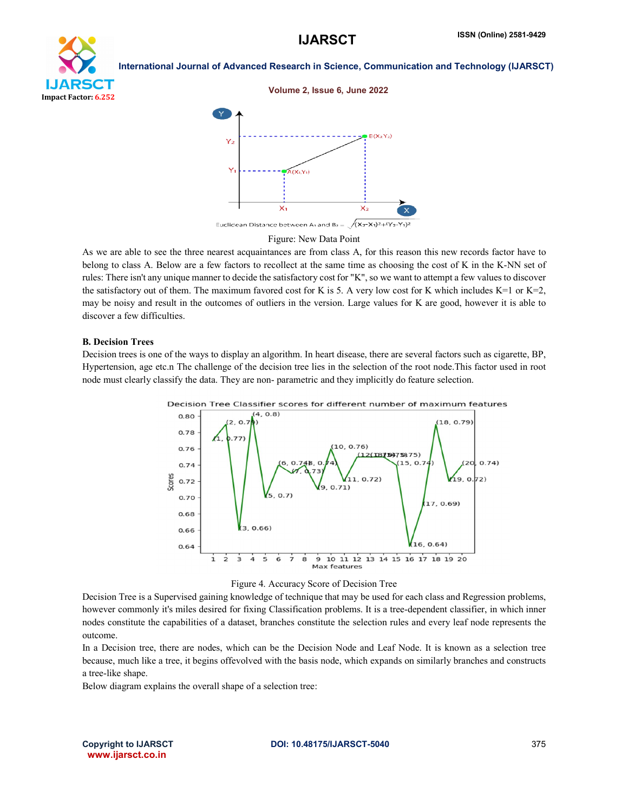# CT Impact Factor: 6.252

International Journal of Advanced Research in Science, Communication and Technology (IJARSCT)



Figure: New Data Point

As we are able to see the three nearest acquaintances are from class A, for this reason this new records factor have to belong to class A. Below are a few factors to recollect at the same time as choosing the cost of K in the K-NN set of rules: There isn't any unique manner to decide the satisfactory cost for "K", so we want to attempt a few values to discover the satisfactory out of them. The maximum favored cost for K is 5. A very low cost for K which includes K=1 or K=2, may be noisy and result in the outcomes of outliers in the version. Large values for K are good, however it is able to discover a few difficulties.

#### B. Decision Trees

Decision trees is one of the ways to display an algorithm. In heart disease, there are several factors such as cigarette, BP, Hypertension, age etc.n The challenge of the decision tree lies in the selection of the root node.This factor used in root node must clearly classify the data. They are non- parametric and they implicitly do feature selection.





Decision Tree is a Supervised gaining knowledge of technique that may be used for each class and Regression problems, however commonly it's miles desired for fixing Classification problems. It is a tree-dependent classifier, in which inner nodes constitute the capabilities of a dataset, branches constitute the selection rules and every leaf node represents the outcome.

In a Decision tree, there are nodes, which can be the Decision Node and Leaf Node. It is known as a selection tree because, much like a tree, it begins offevolved with the basis node, which expands on similarly branches and constructs a tree-like shape.

Below diagram explains the overall shape of a selection tree:

www.ijarsct.co.in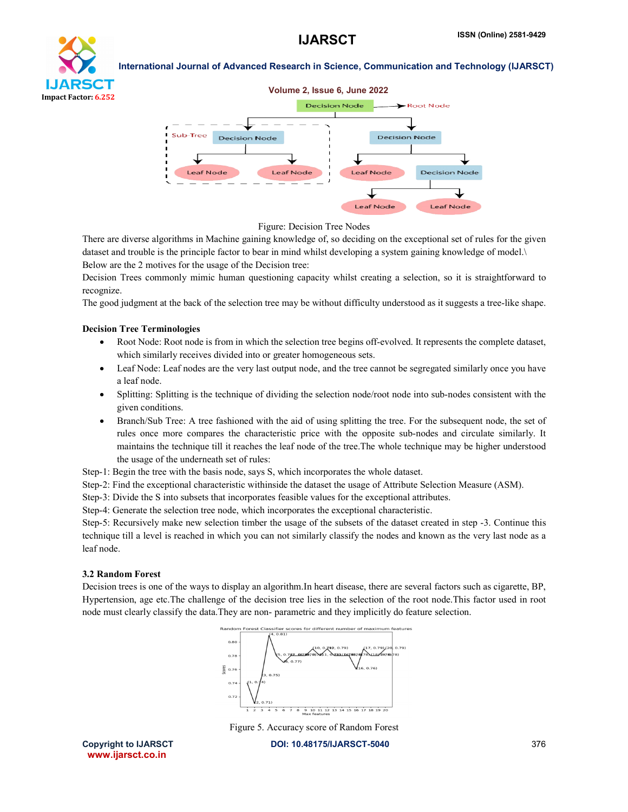# et i Impact Factor: 6.252

International Journal of Advanced Research in Science, Communication and Technology (IJARSCT)





There are diverse algorithms in Machine gaining knowledge of, so deciding on the exceptional set of rules for the given dataset and trouble is the principle factor to bear in mind whilst developing a system gaining knowledge of model.\ Below are the 2 motives for the usage of the Decision tree:

Decision Trees commonly mimic human questioning capacity whilst creating a selection, so it is straightforward to recognize.

The good judgment at the back of the selection tree may be without difficulty understood as it suggests a tree-like shape.

### Decision Tree Terminologies

- Root Node: Root node is from in which the selection tree begins off-evolved. It represents the complete dataset, which similarly receives divided into or greater homogeneous sets.
- Leaf Node: Leaf nodes are the very last output node, and the tree cannot be segregated similarly once you have a leaf node.
- Splitting: Splitting is the technique of dividing the selection node/root node into sub-nodes consistent with the given conditions.
- Branch/Sub Tree: A tree fashioned with the aid of using splitting the tree. For the subsequent node, the set of rules once more compares the characteristic price with the opposite sub-nodes and circulate similarly. It maintains the technique till it reaches the leaf node of the tree.The whole technique may be higher understood the usage of the underneath set of rules:

Step-1: Begin the tree with the basis node, says S, which incorporates the whole dataset.

Step-2: Find the exceptional characteristic withinside the dataset the usage of Attribute Selection Measure (ASM).

Step-3: Divide the S into subsets that incorporates feasible values for the exceptional attributes.

Step-4: Generate the selection tree node, which incorporates the exceptional characteristic.

Step-5: Recursively make new selection timber the usage of the subsets of the dataset created in step -3. Continue this technique till a level is reached in which you can not similarly classify the nodes and known as the very last node as a leaf node.

#### 3.2 Random Forest

Decision trees is one of the ways to display an algorithm.In heart disease, there are several factors such as cigarette, BP, Hypertension, age etc.The challenge of the decision tree lies in the selection of the root node.This factor used in root node must clearly classify the data.They are non- parametric and they implicitly do feature selection.



Figure 5. Accuracy score of Random Forest

www.ijarsct.co.in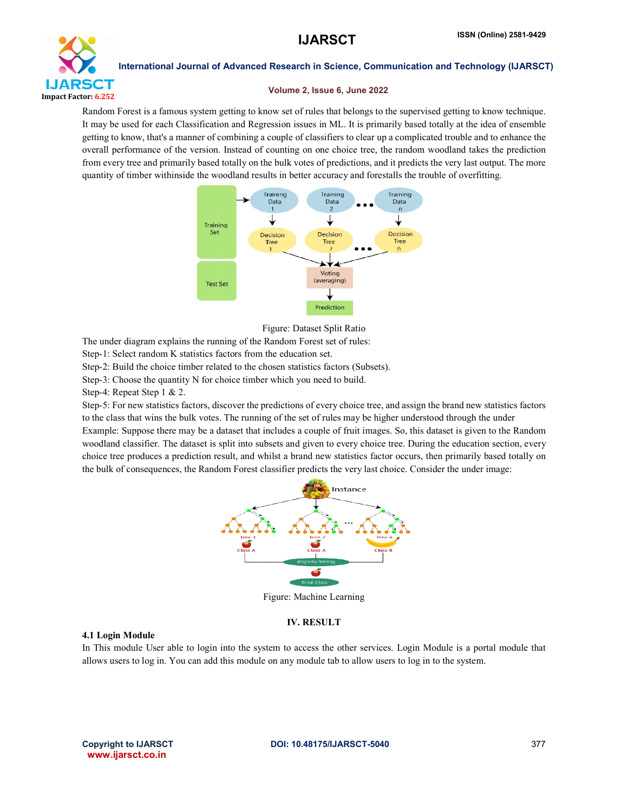

#### Volume 2, Issue 6, June 2022

Random Forest is a famous system getting to know set of rules that belongs to the supervised getting to know technique. It may be used for each Classification and Regression issues in ML. It is primarily based totally at the idea of ensemble getting to know, that's a manner of combining a couple of classifiers to clear up a complicated trouble and to enhance the overall performance of the version. Instead of counting on one choice tree, the random woodland takes the prediction from every tree and primarily based totally on the bulk votes of predictions, and it predicts the very last output. The more quantity of timber withinside the woodland results in better accuracy and forestalls the trouble of overfitting.



Figure: Dataset Split Ratio

The under diagram explains the running of the Random Forest set of rules:

Step-1: Select random K statistics factors from the education set.

Step-2: Build the choice timber related to the chosen statistics factors (Subsets).

Step-3: Choose the quantity N for choice timber which you need to build.

Step-4: Repeat Step 1 & 2.

Step-5: For new statistics factors, discover the predictions of every choice tree, and assign the brand new statistics factors to the class that wins the bulk votes. The running of the set of rules may be higher understood through the under Example: Suppose there may be a dataset that includes a couple of fruit images. So, this dataset is given to the Random woodland classifier. The dataset is split into subsets and given to every choice tree. During the education section, every choice tree produces a prediction result, and whilst a brand new statistics factor occurs, then primarily based totally on the bulk of consequences, the Random Forest classifier predicts the very last choice. Consider the under image:



Figure: Machine Learning

#### IV. RESULT

#### 4.1 Login Module

In This module User able to login into the system to access the other services. Login Module is a portal module that allows users to log in. You can add this module on any module tab to allow users to log in to the system.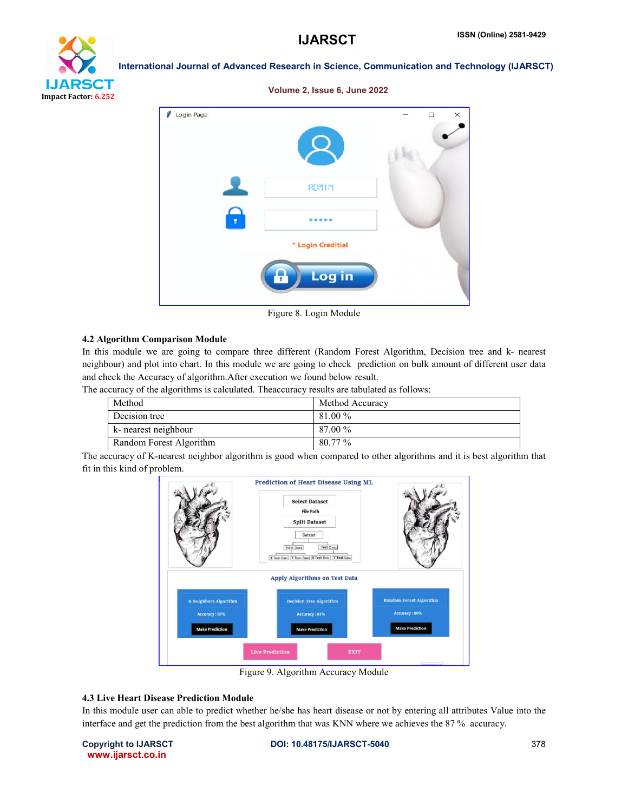

Volume 2, Issue 6, June 2022

International Journal of Advanced Research in Science, Communication and Technology (IJARSCT)



Figure 8. Login Module

#### 4.2 Algorithm Comparison Module

In this module we are going to compare three different (Random Forest Algorithm, Decision tree and k- nearest neighbour) and plot into chart. In this module we are going to check prediction on bulk amount of different user data and check the Accuracy of algorithm.After execution we found below result.

The accuracy of the algorithms is calculated. Theaccuracy results are tabulated as follows:

| Method                  | Method Accuracy |
|-------------------------|-----------------|
| Decision tree           | $81.00\%$       |
| k- nearest neighbour    | 87.00 %         |
| Random Forest Algorithm | 80.77 %         |

The accuracy of K-nearest neighbor algorithm is good when compared to other algorithms and it is best algorithm that fit in this kind of problem.



Figure 9. Algorithm Accuracy Module

#### 4.3 Live Heart Disease Prediction Module

In this module user can able to predict whether he/she has heart disease or not by entering all attributes Value into the interface and get the prediction from the best algorithm that was KNN where we achieves the 87 % accuracy.

www.ijarsct.co.in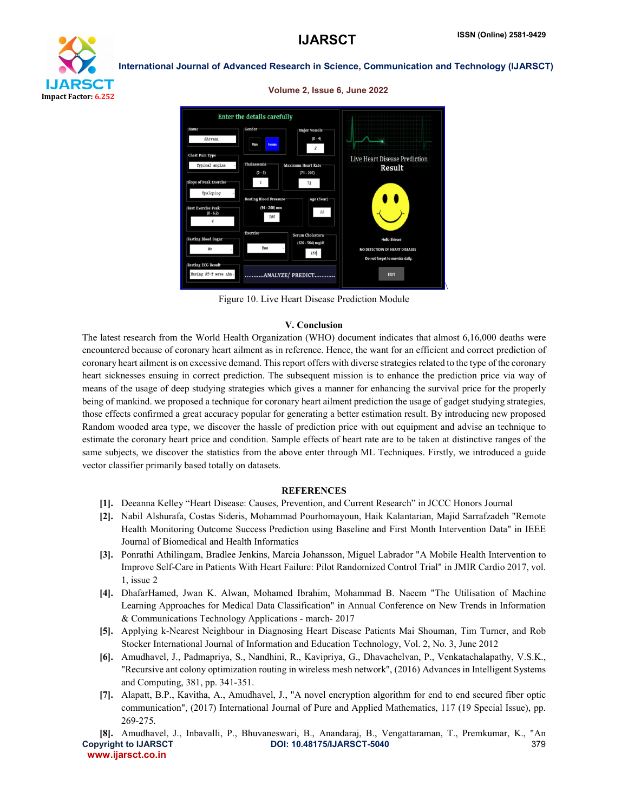



Figure 10. Live Heart Disease Prediction Module

## V. Conclusion

The latest research from the World Health Organization (WHO) document indicates that almost 6,16,000 deaths were encountered because of coronary heart ailment as in reference. Hence, the want for an efficient and correct prediction of coronary heart ailment is on excessive demand. This report offers with diverse strategies related to the type of the coronary heart sicknesses ensuing in correct prediction. The subsequent mission is to enhance the prediction price via way of means of the usage of deep studying strategies which gives a manner for enhancing the survival price for the properly being of mankind. we proposed a technique for coronary heart ailment prediction the usage of gadget studying strategies, those effects confirmed a great accuracy popular for generating a better estimation result. By introducing new proposed Random wooded area type, we discover the hassle of prediction price with out equipment and advise an technique to estimate the coronary heart price and condition. Sample effects of heart rate are to be taken at distinctive ranges of the same subjects, we discover the statistics from the above enter through ML Techniques. Firstly, we introduced a guide vector classifier primarily based totally on datasets.

## **REFERENCES**

- [1]. Deeanna Kelley "Heart Disease: Causes, Prevention, and Current Research" in JCCC Honors Journal
- [2]. Nabil Alshurafa, Costas Sideris, Mohammad Pourhomayoun, Haik Kalantarian, Majid Sarrafzadeh "Remote Health Monitoring Outcome Success Prediction using Baseline and First Month Intervention Data" in IEEE Journal of Biomedical and Health Informatics
- [3]. Ponrathi Athilingam, Bradlee Jenkins, Marcia Johansson, Miguel Labrador "A Mobile Health Intervention to Improve Self-Care in Patients With Heart Failure: Pilot Randomized Control Trial" in JMIR Cardio 2017, vol. 1, issue 2
- [4]. DhafarHamed, Jwan K. Alwan, Mohamed Ibrahim, Mohammad B. Naeem "The Utilisation of Machine Learning Approaches for Medical Data Classification" in Annual Conference on New Trends in Information & Communications Technology Applications - march- 2017
- [5]. Applying k-Nearest Neighbour in Diagnosing Heart Disease Patients Mai Shouman, Tim Turner, and Rob Stocker International Journal of Information and Education Technology, Vol. 2, No. 3, June 2012
- [6]. Amudhavel, J., Padmapriya, S., Nandhini, R., Kavipriya, G., Dhavachelvan, P., Venkatachalapathy, V.S.K., "Recursive ant colony optimization routing in wireless mesh network", (2016) Advances in Intelligent Systems and Computing, 381, pp. 341-351.
- [7]. Alapatt, B.P., Kavitha, A., Amudhavel, J., "A novel encryption algorithm for end to end secured fiber optic communication", (2017) International Journal of Pure and Applied Mathematics, 117 (19 Special Issue), pp. 269-275.

Copyright to IJARSCT DOI: 10.48175/IJARSCT-5040 379 www.ijarsct.co.in [8]. Amudhavel, J., Inbavalli, P., Bhuvaneswari, B., Anandaraj, B., Vengattaraman, T., Premkumar, K., "An